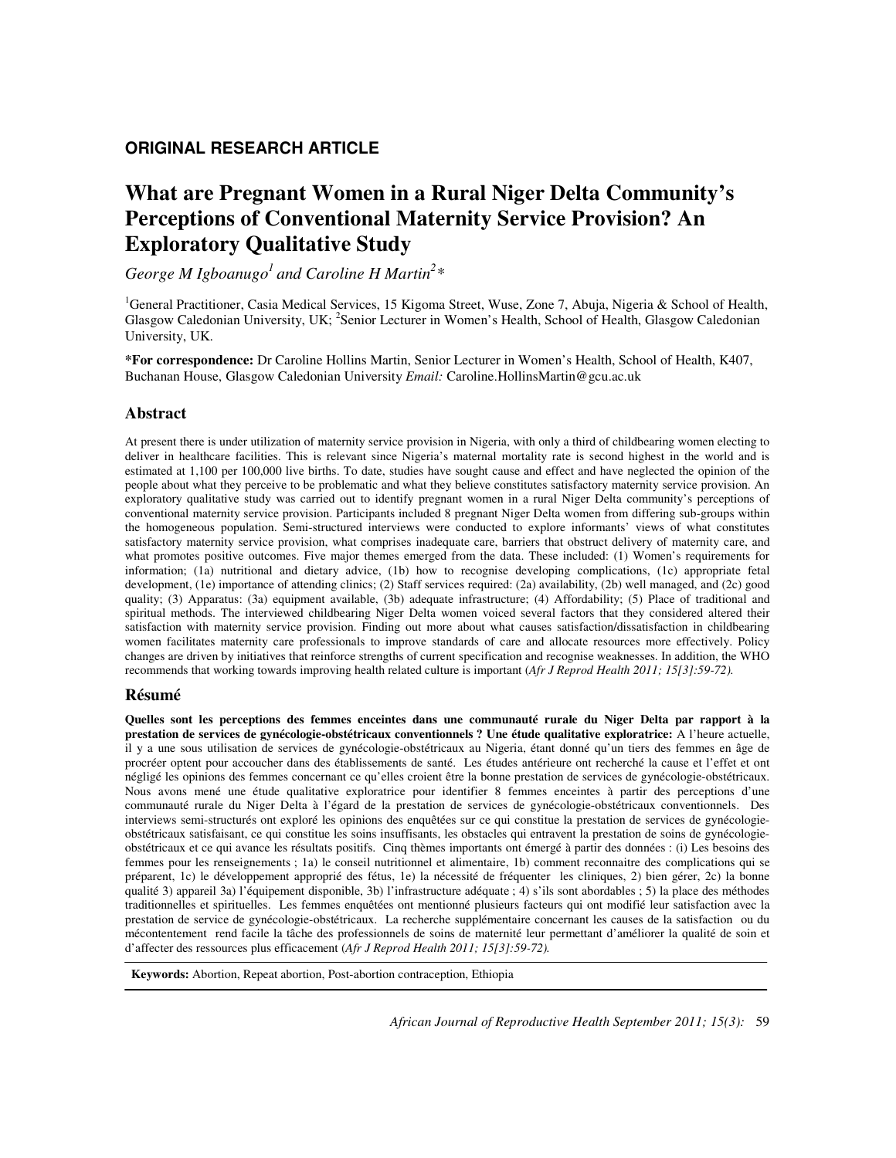## **ORIGINAL RESEARCH ARTICLE**

# **What are Pregnant Women in a Rural Niger Delta Community's Perceptions of Conventional Maternity Service Provision? An Exploratory Qualitative Study**

*George M Igboanugo<sup>1</sup>and Caroline H Martin<sup>2</sup> \** 

<sup>1</sup>General Practitioner, Casia Medical Services, 15 Kigoma Street, Wuse, Zone 7, Abuja, Nigeria & School of Health, Glasgow Caledonian University, UK; <sup>2</sup>Senior Lecturer in Women's Health, School of Health, Glasgow Caledonian University, UK.

**\*For correspondence:** Dr Caroline Hollins Martin, Senior Lecturer in Women's Health, School of Health, K407, Buchanan House, Glasgow Caledonian University *Email:* Caroline.HollinsMartin@gcu.ac.uk

## **Abstract**

At present there is under utilization of maternity service provision in Nigeria, with only a third of childbearing women electing to deliver in healthcare facilities. This is relevant since Nigeria's maternal mortality rate is second highest in the world and is estimated at 1,100 per 100,000 live births. To date, studies have sought cause and effect and have neglected the opinion of the people about what they perceive to be problematic and what they believe constitutes satisfactory maternity service provision. An exploratory qualitative study was carried out to identify pregnant women in a rural Niger Delta community's perceptions of conventional maternity service provision. Participants included 8 pregnant Niger Delta women from differing sub-groups within the homogeneous population. Semi-structured interviews were conducted to explore informants' views of what constitutes satisfactory maternity service provision, what comprises inadequate care, barriers that obstruct delivery of maternity care, and what promotes positive outcomes. Five major themes emerged from the data. These included: (1) Women's requirements for information; (1a) nutritional and dietary advice, (1b) how to recognise developing complications, (1c) appropriate fetal development, (1e) importance of attending clinics; (2) Staff services required: (2a) availability, (2b) well managed, and (2c) good quality; (3) Apparatus: (3a) equipment available, (3b) adequate infrastructure; (4) Affordability; (5) Place of traditional and spiritual methods. The interviewed childbearing Niger Delta women voiced several factors that they considered altered their satisfaction with maternity service provision. Finding out more about what causes satisfaction/dissatisfaction in childbearing women facilitates maternity care professionals to improve standards of care and allocate resources more effectively. Policy changes are driven by initiatives that reinforce strengths of current specification and recognise weaknesses. In addition, the WHO recommends that working towards improving health related culture is important (*Afr J Reprod Health 2011; 15[3]:59-72).*

#### **Résumé**

**Quelles sont les perceptions des femmes enceintes dans une communauté rurale du Niger Delta par rapport à la prestation de services de gynécologie-obstétricaux conventionnels ? Une étude qualitative exploratrice:** A l'heure actuelle, il y a une sous utilisation de services de gynécologie-obstétricaux au Nigeria, étant donné qu'un tiers des femmes en âge de procréer optent pour accoucher dans des établissements de santé. Les études antérieure ont recherché la cause et l'effet et ont négligé les opinions des femmes concernant ce qu'elles croient être la bonne prestation de services de gynécologie-obstétricaux. Nous avons mené une étude qualitative exploratrice pour identifier 8 femmes enceintes à partir des perceptions d'une communauté rurale du Niger Delta à l'égard de la prestation de services de gynécologie-obstétricaux conventionnels. Des interviews semi-structurés ont exploré les opinions des enquêtées sur ce qui constitue la prestation de services de gynécologieobstétricaux satisfaisant, ce qui constitue les soins insuffisants, les obstacles qui entravent la prestation de soins de gynécologieobstétricaux et ce qui avance les résultats positifs. Cinq thèmes importants ont émergé à partir des données : (i) Les besoins des femmes pour les renseignements ; 1a) le conseil nutritionnel et alimentaire, 1b) comment reconnaitre des complications qui se préparent, 1c) le développement approprié des fétus, 1e) la nécessité de fréquenter les cliniques, 2) bien gérer, 2c) la bonne qualité 3) appareil 3a) l'équipement disponible, 3b) l'infrastructure adéquate ; 4) s'ils sont abordables ; 5) la place des méthodes traditionnelles et spirituelles. Les femmes enquêtées ont mentionné plusieurs facteurs qui ont modifié leur satisfaction avec la prestation de service de gynécologie-obstétricaux. La recherche supplémentaire concernant les causes de la satisfaction ou du mécontentement rend facile la tâche des professionnels de soins de maternité leur permettant d'améliorer la qualité de soin et d'affecter des ressources plus efficacement (*Afr J Reprod Health 2011; 15[3]:59-72).*

 **Keywords:** Abortion, Repeat abortion, Post-abortion contraception, Ethiopia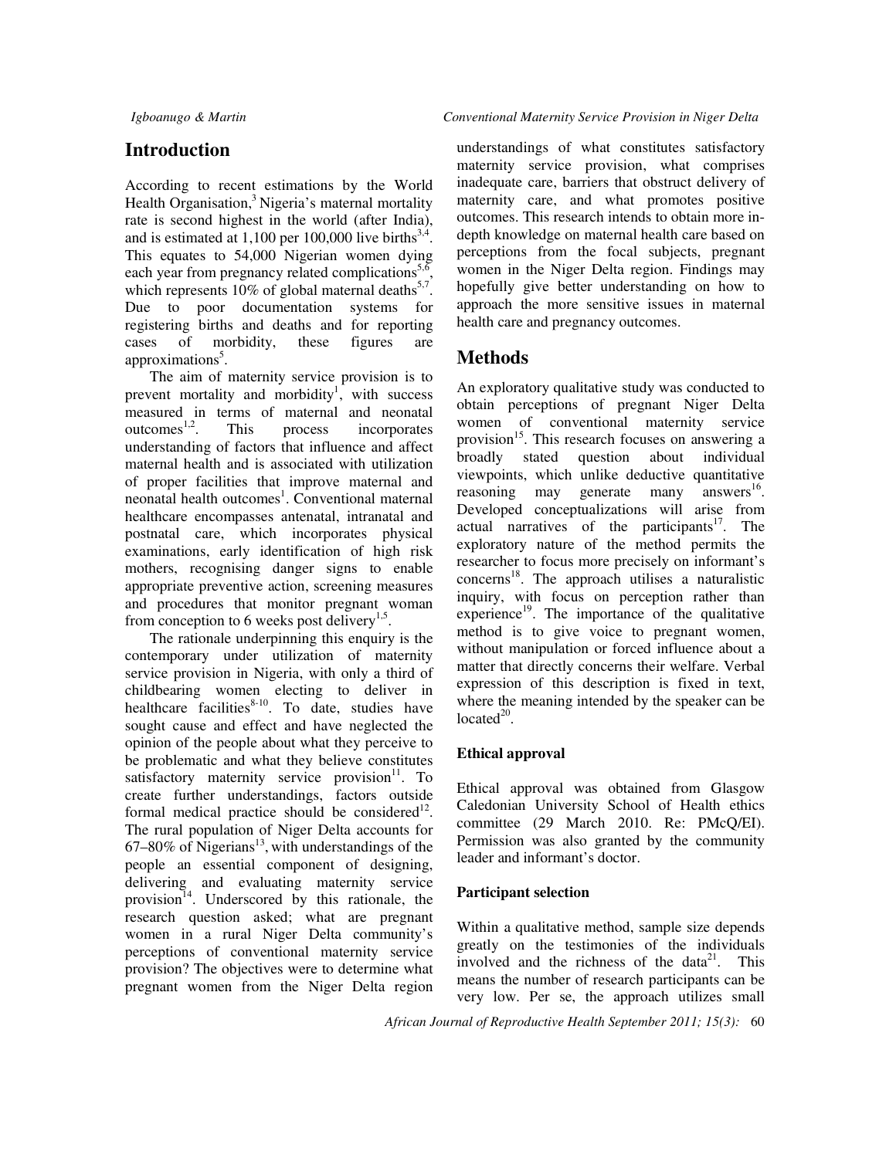## **Introduction**

According to recent estimations by the World Health Organisation,<sup>3</sup> Nigeria's maternal mortality rate is second highest in the world (after India), and is estimated at  $1,100$  per  $100,000$  live births<sup>3,4</sup>. This equates to 54,000 Nigerian women dying each year from pregnancy related complications<sup>5,6</sup>, which represents  $10\%$  of global maternal deaths<sup>5,7</sup>. Due to poor documentation systems for registering births and deaths and for reporting<br>cases of morbidity, these figures are cases of morbidity, these figures are approximations<sup>5</sup>.

The aim of maternity service provision is to prevent mortality and morbidity<sup>1</sup>, with success measured in terms of maternal and neonatal outcomes $^{1,2}$ . . This process incorporates understanding of factors that influence and affect maternal health and is associated with utilization of proper facilities that improve maternal and neonatal health outcomes<sup>1</sup>. Conventional maternal healthcare encompasses antenatal, intranatal and postnatal care, which incorporates physical examinations, early identification of high risk mothers, recognising danger signs to enable appropriate preventive action, screening measures and procedures that monitor pregnant woman from conception to 6 weeks post delivery<sup>1,5</sup>.

The rationale underpinning this enquiry is the contemporary under utilization of maternity service provision in Nigeria, with only a third of childbearing women electing to deliver in healthcare facilities $8-10$ . To date, studies have sought cause and effect and have neglected the opinion of the people about what they perceive to be problematic and what they believe constitutes satisfactory maternity service provision<sup>11</sup>. To create further understandings, factors outside formal medical practice should be considered $12$ . The rural population of Niger Delta accounts for  $67-80\%$  of Nigerians<sup>13</sup>, with understandings of the people an essential component of designing, delivering and evaluating maternity service provision $^{14}$ . Underscored by this rationale, the research question asked; what are pregnant women in a rural Niger Delta community's perceptions of conventional maternity service provision? The objectives were to determine what pregnant women from the Niger Delta region

understandings of what constitutes satisfactory maternity service provision, what comprises inadequate care, barriers that obstruct delivery of maternity care, and what promotes positive outcomes. This research intends to obtain more indepth knowledge on maternal health care based on perceptions from the focal subjects, pregnant women in the Niger Delta region. Findings may hopefully give better understanding on how to approach the more sensitive issues in maternal health care and pregnancy outcomes.

## **Methods**

An exploratory qualitative study was conducted to obtain perceptions of pregnant Niger Delta women of conventional maternity service provision<sup>15</sup>. This research focuses on answering a broadly stated question about individual viewpoints, which unlike deductive quantitative reasoning may generate many answers<sup>16</sup>. Developed conceptualizations will arise from actual narratives of the participants $17$ . The exploratory nature of the method permits the researcher to focus more precisely on informant's concerns <sup>18</sup>. The approach utilises a naturalistic inquiry, with focus on perception rather than experience $^{19}$ . The importance of the qualitative method is to give voice to pregnant women, without manipulation or forced influence about a matter that directly concerns their welfare. Verbal expression of this description is fixed in text, where the meaning intended by the speaker can be located $^{20}$ .

## **Ethical approval**

Ethical approval was obtained from Glasgow Caledonian University School of Health ethics committee (29 March 2010. Re: PMcQ/EI). Permission was also granted by the community leader and informant's doctor.

## **Participant selection**

Within a qualitative method, sample size depends greatly on the testimonies of the individuals involved and the richness of the data<sup>21</sup>. This means the number of research participants can be very low. Per se, the approach utilizes small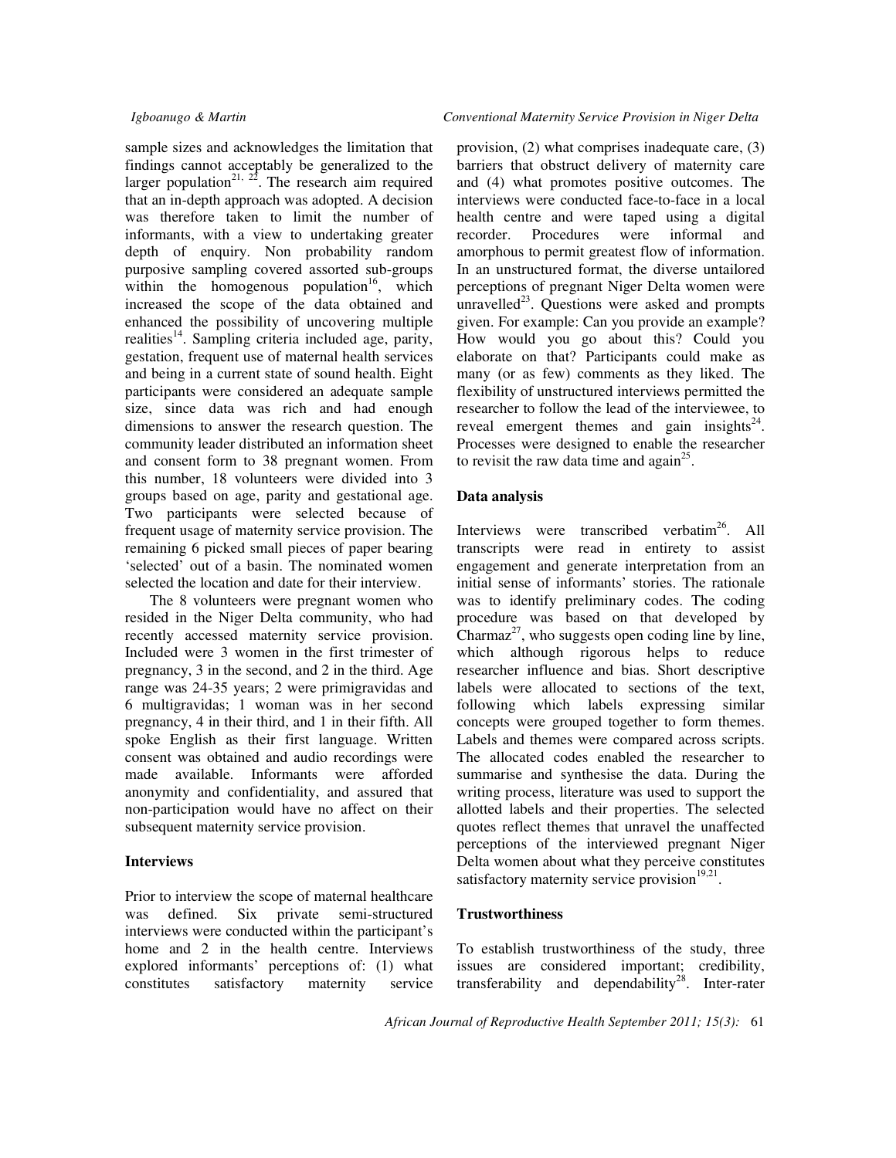sample sizes and acknowledges the limitation that findings cannot acceptably be generalized to the larger population<sup>21, 22</sup>. The research aim required that an in-depth approach was adopted. A decision was therefore taken to limit the number of informants, with a view to undertaking greater depth of enquiry. Non probability random purposive sampling covered assorted sub-groups within the homogenous population<sup>16</sup>, which increased the scope of the data obtained and enhanced the possibility of uncovering multiple realities<sup>14</sup>. Sampling criteria included age, parity, gestation, frequent use of maternal health services and being in a current state of sound health. Eight participants were considered an adequate sample size, since data was rich and had enough dimensions to answer the research question. The community leader distributed an information sheet and consent form to 38 pregnant women. From this number, 18 volunteers were divided into 3 groups based on age, parity and gestational age. Two participants were selected because of frequent usage of maternity service provision. The remaining 6 picked small pieces of paper bearing 'selected' out of a basin. The nominated women selected the location and date for their interview.

The 8 volunteers were pregnant women who resided in the Niger Delta community, who had recently accessed maternity service provision. Included were 3 women in the first trimester of pregnancy, 3 in the second, and 2 in the third. Age range was 24-35 years; 2 were primigravidas and 6 multigravidas; 1 woman was in her second pregnancy, 4 in their third, and 1 in their fifth. All spoke English as their first language. Written consent was obtained and audio recordings were made available. Informants were afforded anonymity and confidentiality, and assured that non-participation would have no affect on their subsequent maternity service provision.

#### **Interviews**

Prior to interview the scope of maternal healthcare was defined. Six private semi-structured interviews were conducted within the participant's home and 2 in the health centre. Interviews explored informants' perceptions of: (1) what constitutes satisfactory maternity service provision, (2) what comprises inadequate care, (3) barriers that obstruct delivery of maternity care and (4) what promotes positive outcomes. The interviews were conducted face-to-face in a local health centre and were taped using a digital recorder. Procedures were informal and amorphous to permit greatest flow of information. In an unstructured format, the diverse untailored perceptions of pregnant Niger Delta women were unravelled<sup>23</sup>. Questions were asked and prompts given. For example: Can you provide an example? How would you go about this? Could you elaborate on that? Participants could make as many (or as few) comments as they liked. The flexibility of unstructured interviews permitted the researcher to follow the lead of the interviewee, to reveal emergent themes and gain insights<sup>24</sup>. Processes were designed to enable the researcher to revisit the raw data time and again<sup>25</sup>.

#### **Data analysis**

Interviews were transcribed verbatim<sup>26</sup>. All transcripts were read in entirety to assist engagement and generate interpretation from an initial sense of informants' stories. The rationale was to identify preliminary codes. The coding procedure was based on that developed by Charmaz<sup>27</sup>, who suggests open coding line by line, which although rigorous helps to reduce researcher influence and bias. Short descriptive labels were allocated to sections of the text, following which labels expressing similar concepts were grouped together to form themes. Labels and themes were compared across scripts. The allocated codes enabled the researcher to summarise and synthesise the data. During the writing process, literature was used to support the allotted labels and their properties. The selected quotes reflect themes that unravel the unaffected perceptions of the interviewed pregnant Niger Delta women about what they perceive constitutes satisfactory maternity service provision $19,21$ .

#### **Trustworthiness**

To establish trustworthiness of the study, three issues are considered important; credibility, transferability and dependability<sup>28</sup>. Inter-rater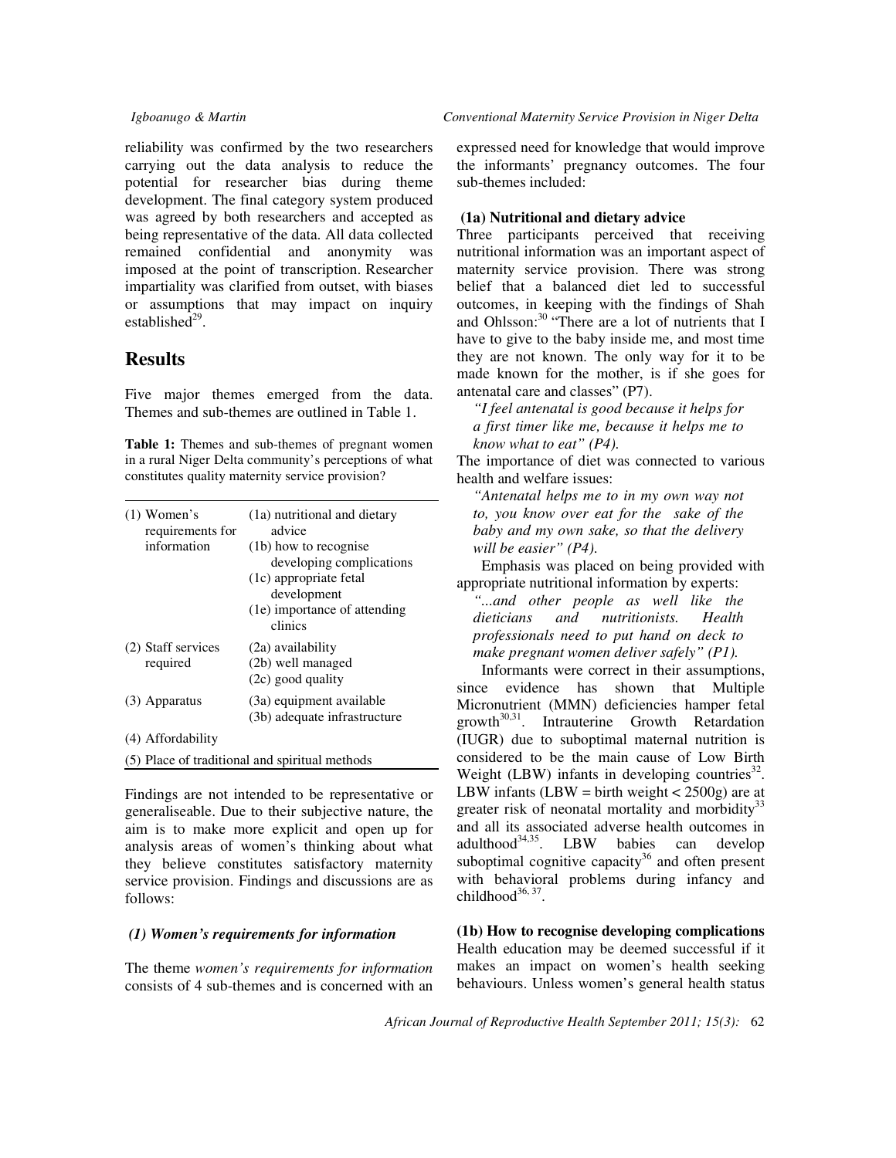reliability was confirmed by the two researchers carrying out the data analysis to reduce the potential for researcher bias during theme development. The final category system produced was agreed by both researchers and accepted as being representative of the data. All data collected remained confidential and anonymity was imposed at the point of transcription. Researcher impartiality was clarified from outset, with biases or assumptions that may impact on inquiry established $^{29}$ .

## **Results**

Five major themes emerged from the data. Themes and sub-themes are outlined in Table 1.

**Table 1:** Themes and sub-themes of pregnant women in a rural Niger Delta community's perceptions of what constitutes quality maternity service provision?

| $(1)$ Women's<br>requirements for | (1a) nutritional and dietary<br>advice         |
|-----------------------------------|------------------------------------------------|
| information                       | (1b) how to recognise                          |
|                                   | developing complications                       |
|                                   | (1c) appropriate fetal                         |
|                                   | development                                    |
|                                   | (1e) importance of attending                   |
|                                   | clinics                                        |
| (2) Staff services                | (2a) availability                              |
| required                          | (2b) well managed                              |
|                                   | $(2c)$ good quality                            |
| (3) Apparatus                     | (3a) equipment available                       |
|                                   | (3b) adequate infrastructure                   |
| (4) Affordability                 |                                                |
|                                   | (5) Place of traditional and spiritual methods |

Findings are not intended to be representative or generaliseable. Due to their subjective nature, the aim is to make more explicit and open up for analysis areas of women's thinking about what they believe constitutes satisfactory maternity service provision. Findings and discussions are as follows:

#### *(1) Women's requirements for information*

The theme *women's requirements for information* consists of 4 sub-themes and is concerned with an expressed need for knowledge that would improve the informants' pregnancy outcomes. The four sub-themes included:

### **(1a) Nutritional and dietary advice**

Three participants perceived that receiving nutritional information was an important aspect of maternity service provision. There was strong belief that a balanced diet led to successful outcomes, in keeping with the findings of Shah and Ohlsson:<sup>30</sup> "There are a lot of nutrients that I have to give to the baby inside me, and most time they are not known. The only way for it to be made known for the mother, is if she goes for antenatal care and classes" (P7).

*"I feel antenatal is good because it helps for a first timer like me, because it helps me to know what to eat" (P4).* 

The importance of diet was connected to various health and welfare issues:

*"Antenatal helps me to in my own way not to, you know over eat for the sake of the baby and my own sake, so that the delivery will be easier" (P4).*

Emphasis was placed on being provided with appropriate nutritional information by experts:

*"...and other people as well like the dieticians and nutritionists. Health professionals need to put hand on deck to make pregnant women deliver safely" (P1).* 

Informants were correct in their assumptions, since evidence has shown that Multiple Micronutrient (MMN) deficiencies hamper fetal  $growth^{30,31}$ . Intrauterine Growth Retardation (IUGR) due to suboptimal maternal nutrition is considered to be the main cause of Low Birth Weight (LBW) infants in developing countries<sup>32</sup>. LBW infants (LBW = birth weight  $\langle 2500 \text{g} \rangle$  are at greater risk of neonatal mortality and morbidity<sup>33</sup> and all its associated adverse health outcomes in adulthood<sup>34,35</sup>. LBW babies can develop LBW babies can develop suboptimal cognitive capacity<sup>36</sup> and often present with behavioral problems during infancy and childhood $^{36, 37}$ .

**(1b) How to recognise developing complications**  Health education may be deemed successful if it makes an impact on women's health seeking behaviours. Unless women's general health status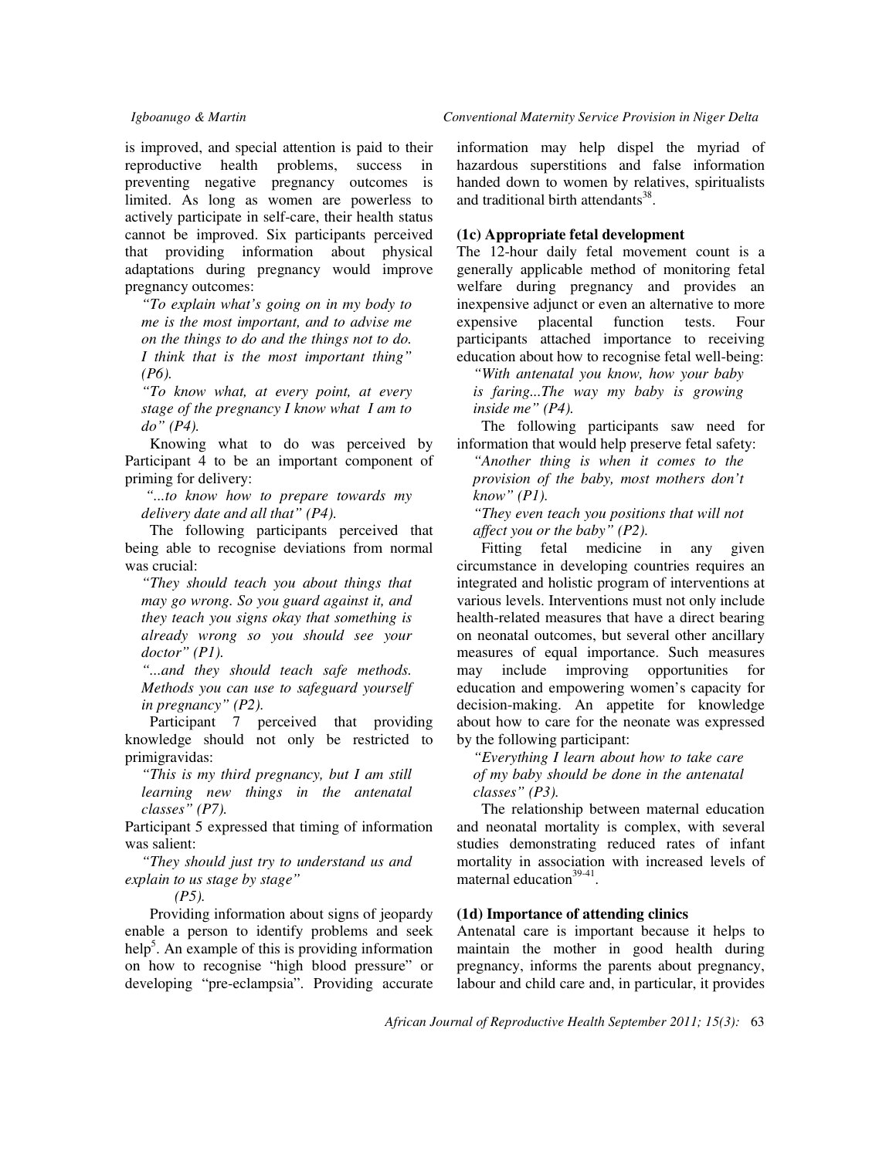is improved, and special attention is paid to their reproductive health problems, success in preventing negative pregnancy outcomes is limited. As long as women are powerless to actively participate in self-care, their health status cannot be improved. Six participants perceived that providing information about physical adaptations during pregnancy would improve pregnancy outcomes:

*"To explain what's going on in my body to me is the most important, and to advise me on the things to do and the things not to do. I think that is the most important thing" (P6).* 

*"To know what, at every point, at every stage of the pregnancy I know what I am to do" (P4).* 

Knowing what to do was perceived by Participant 4 to be an important component of priming for delivery:

*"...to know how to prepare towards my delivery date and all that" (P4).*

The following participants perceived that being able to recognise deviations from normal was crucial:

*"They should teach you about things that may go wrong. So you guard against it, and they teach you signs okay that something is already wrong so you should see your doctor" (P1).* 

*"...and they should teach safe methods. Methods you can use to safeguard yourself in pregnancy" (P2).* 

Participant 7 perceived that providing knowledge should not only be restricted to primigravidas:

*"This is my third pregnancy, but I am still learning new things in the antenatal classes" (P7).*

Participant 5 expressed that timing of information was salient:

*"They should just try to understand us and explain to us stage by stage"* 

*(P5).* 

Providing information about signs of jeopardy enable a person to identify problems and seek help<sup>5</sup>. An example of this is providing information on how to recognise "high blood pressure" or developing "pre-eclampsia". Providing accurate

#### *Igboanugo & Martin Conventional Maternity Service Provision in Niger Delta*

information may help dispel the myriad of hazardous superstitions and false information handed down to women by relatives, spiritualists and traditional birth attendants<sup>38</sup>.

### **(1c) Appropriate fetal development**

The 12-hour daily fetal movement count is a generally applicable method of monitoring fetal welfare during pregnancy and provides an inexpensive adjunct or even an alternative to more expensive placental function tests. Four participants attached importance to receiving education about how to recognise fetal well-being:

*"With antenatal you know, how your baby is faring...The way my baby is growing inside me" (P4).* 

The following participants saw need for information that would help preserve fetal safety:

*"Another thing is when it comes to the provision of the baby, most mothers don't know" (P1).* 

*"They even teach you positions that will not affect you or the baby" (P2).* 

Fitting fetal medicine in any given circumstance in developing countries requires an integrated and holistic program of interventions at various levels. Interventions must not only include health-related measures that have a direct bearing on neonatal outcomes, but several other ancillary measures of equal importance. Such measures may include improving opportunities for education and empowering women's capacity for decision-making. An appetite for knowledge about how to care for the neonate was expressed by the following participant:

*"Everything I learn about how to take care of my baby should be done in the antenatal classes" (P3).* 

The relationship between maternal education and neonatal mortality is complex, with several studies demonstrating reduced rates of infant mortality in association with increased levels of maternal education<sup>39-41</sup>.

#### **(1d) Importance of attending clinics**

Antenatal care is important because it helps to maintain the mother in good health during pregnancy, informs the parents about pregnancy, labour and child care and, in particular, it provides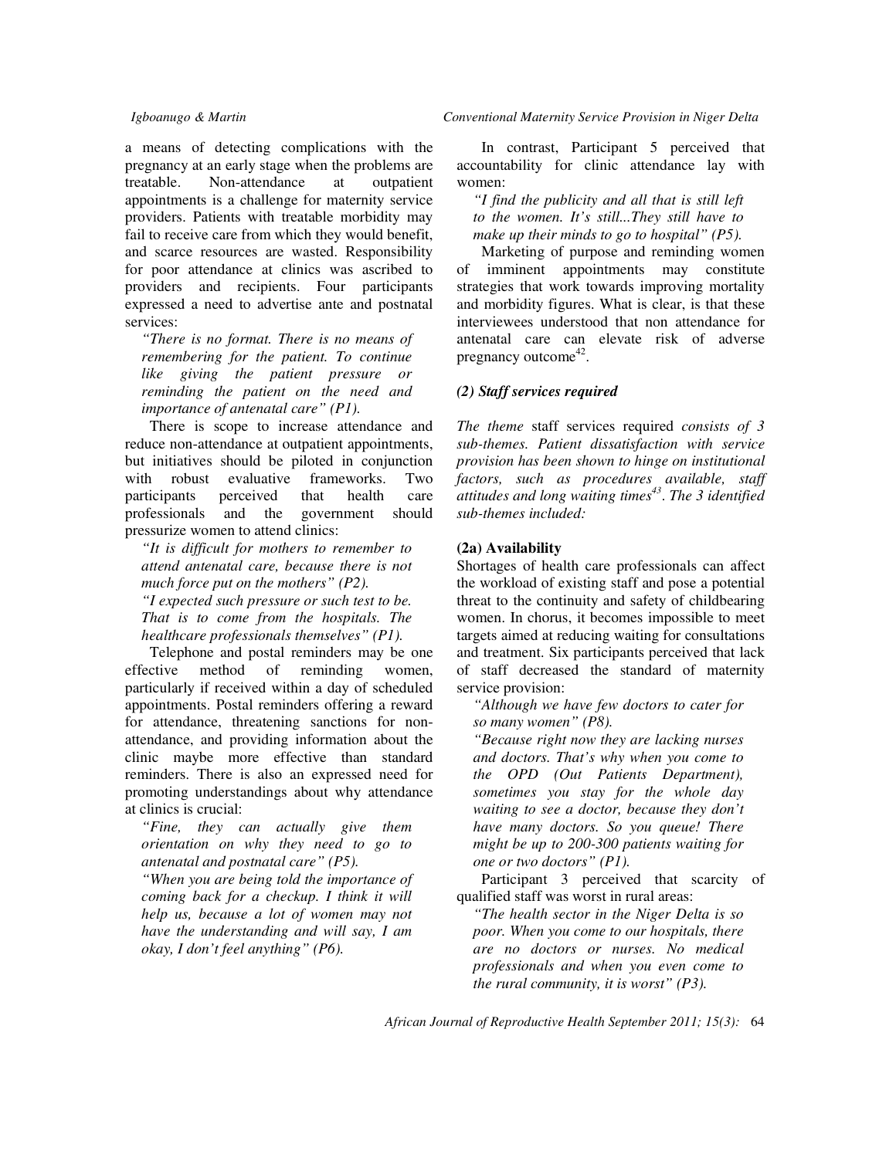a means of detecting complications with the pregnancy at an early stage when the problems are treatable. Non-attendance at outpatient appointments is a challenge for maternity service providers. Patients with treatable morbidity may fail to receive care from which they would benefit, and scarce resources are wasted. Responsibility for poor attendance at clinics was ascribed to providers and recipients. Four participants expressed a need to advertise ante and postnatal services:

*"There is no format. There is no means of remembering for the patient. To continue like giving the patient pressure or reminding the patient on the need and importance of antenatal care" (P1).* 

There is scope to increase attendance and reduce non-attendance at outpatient appointments, but initiatives should be piloted in conjunction with robust evaluative frameworks. Two participants perceived that health care professionals and the government should pressurize women to attend clinics:

*"It is difficult for mothers to remember to attend antenatal care, because there is not much force put on the mothers" (P2). "I expected such pressure or such test to be. That is to come from the hospitals. The healthcare professionals themselves" (P1).* 

Telephone and postal reminders may be one effective method of reminding women, particularly if received within a day of scheduled appointments. Postal reminders offering a reward for attendance, threatening sanctions for nonattendance, and providing information about the clinic maybe more effective than standard reminders. There is also an expressed need for promoting understandings about why attendance at clinics is crucial:

*"Fine, they can actually give them orientation on why they need to go to antenatal and postnatal care" (P5).* 

*"When you are being told the importance of coming back for a checkup. I think it will help us, because a lot of women may not have the understanding and will say, I am okay, I don't feel anything" (P6).* 

In contrast, Participant 5 perceived that accountability for clinic attendance lay with women:

*"I find the publicity and all that is still left to the women. It's still...They still have to make up their minds to go to hospital" (P5).* 

Marketing of purpose and reminding women of imminent appointments may constitute strategies that work towards improving mortality and morbidity figures. What is clear, is that these interviewees understood that non attendance for antenatal care can elevate risk of adverse pregnancy outcome<sup>42</sup>.

#### *(2) Staff services required*

*The theme* staff services required *consists of 3 sub-themes. Patient dissatisfaction with service provision has been shown to hinge on institutional factors, such as procedures available, staff attitudes and long waiting times<sup>43</sup>* . *The 3 identified sub-themes included:* 

## **(2a) Availability**

Shortages of health care professionals can affect the workload of existing staff and pose a potential threat to the continuity and safety of childbearing women. In chorus, it becomes impossible to meet targets aimed at reducing waiting for consultations and treatment. Six participants perceived that lack of staff decreased the standard of maternity service provision:

*"Although we have few doctors to cater for so many women" (P8).* 

*"Because right now they are lacking nurses and doctors. That's why when you come to the OPD (Out Patients Department), sometimes you stay for the whole day waiting to see a doctor, because they don't have many doctors. So you queue! There might be up to 200-300 patients waiting for one or two doctors" (P1).* 

Participant 3 perceived that scarcity of qualified staff was worst in rural areas:

*"The health sector in the Niger Delta is so poor. When you come to our hospitals, there are no doctors or nurses. No medical professionals and when you even come to the rural community, it is worst" (P3).*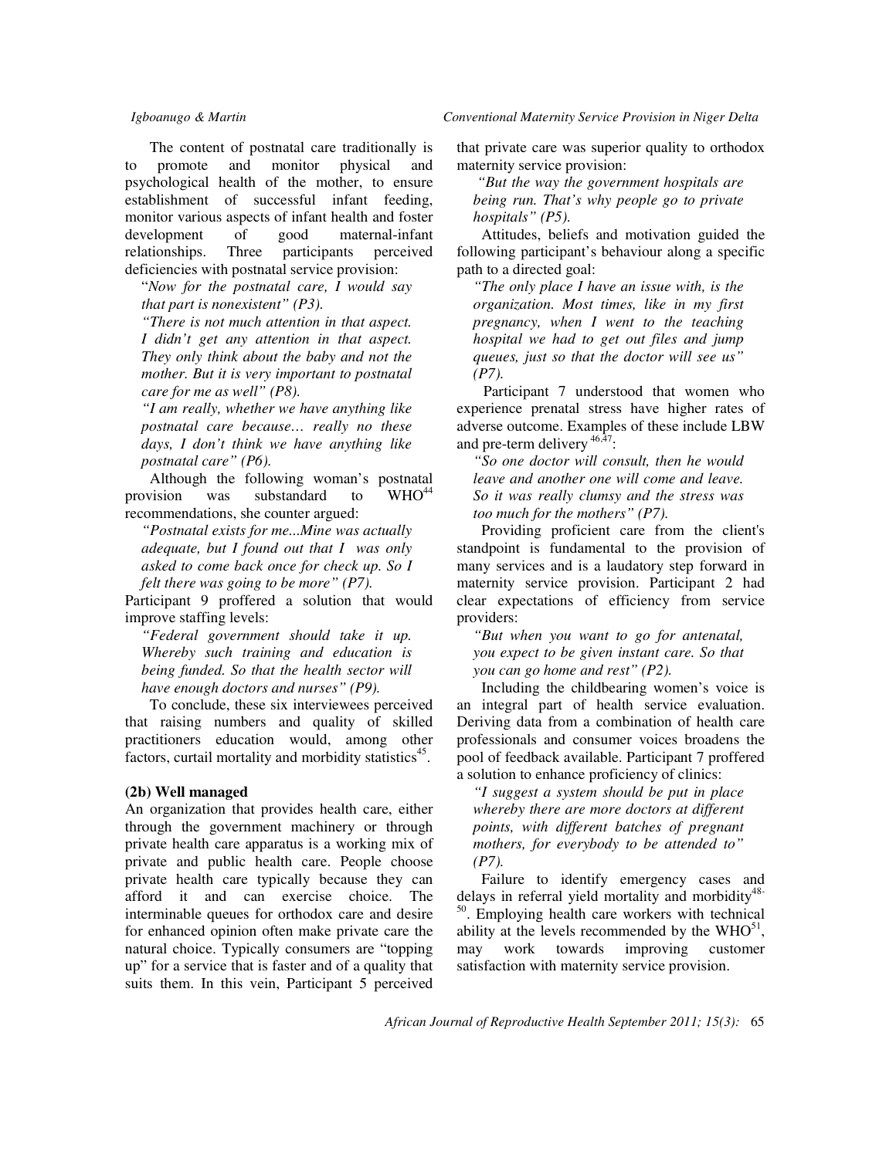The content of postnatal care traditionally is to promote and monitor physical and psychological health of the mother, to ensure establishment of successful infant feeding, monitor various aspects of infant health and foster development of good maternal-infant relationships. Three participants perceived deficiencies with postnatal service provision:

"*Now for the postnatal care, I would say that part is nonexistent" (P3).* 

*"There is not much attention in that aspect. I didn't get any attention in that aspect. They only think about the baby and not the mother. But it is very important to postnatal care for me as well" (P8).* 

*"I am really, whether we have anything like postnatal care because… really no these days, I don't think we have anything like postnatal care" (P6).* 

Although the following woman's postnatal provision was substandard to  $WHO^{44}$ recommendations, she counter argued:

*"Postnatal exists for me...Mine was actually adequate, but I found out that I was only asked to come back once for check up. So I felt there was going to be more" (P7).* 

Participant 9 proffered a solution that would improve staffing levels:

*"Federal government should take it up. Whereby such training and education is being funded. So that the health sector will have enough doctors and nurses" (P9).* 

To conclude, these six interviewees perceived that raising numbers and quality of skilled practitioners education would, among other factors, curtail mortality and morbidity statistics<sup>45</sup>.

#### **(2b) Well managed**

An organization that provides health care, either through the government machinery or through private health care apparatus is a working mix of private and public health care. People choose private health care typically because they can afford it and can exercise choice. The interminable queues for orthodox care and desire for enhanced opinion often make private care the natural choice. Typically consumers are "topping up" for a service that is faster and of a quality that suits them. In this vein, Participant 5 perceived that private care was superior quality to orthodox maternity service provision:

 *"But the way the government hospitals are being run. That's why people go to private hospitals" (P5).* 

Attitudes, beliefs and motivation guided the following participant's behaviour along a specific path to a directed goal:

*"The only place I have an issue with, is the organization. Most times, like in my first pregnancy, when I went to the teaching hospital we had to get out files and jump queues, just so that the doctor will see us" (P7).* 

 Participant 7 understood that women who experience prenatal stress have higher rates of adverse outcome. Examples of these include LBW and pre-term delivery  $46,47$ :

*"So one doctor will consult, then he would leave and another one will come and leave. So it was really clumsy and the stress was too much for the mothers" (P7).* 

Providing proficient care from the client's standpoint is fundamental to the provision of many services and is a laudatory step forward in maternity service provision. Participant 2 had clear expectations of efficiency from service providers:

*"But when you want to go for antenatal, you expect to be given instant care. So that you can go home and rest" (P2).* 

Including the childbearing women's voice is an integral part of health service evaluation. Deriving data from a combination of health care professionals and consumer voices broadens the pool of feedback available. Participant 7 proffered a solution to enhance proficiency of clinics:

*"I suggest a system should be put in place whereby there are more doctors at different points, with different batches of pregnant mothers, for everybody to be attended to" (P7).* 

Failure to identify emergency cases and delays in referral yield mortality and morbidity<sup>48-</sup> <sup>50</sup>. Employing health care workers with technical ability at the levels recommended by the  $WHO^{51}$ , may work towards improving customer satisfaction with maternity service provision.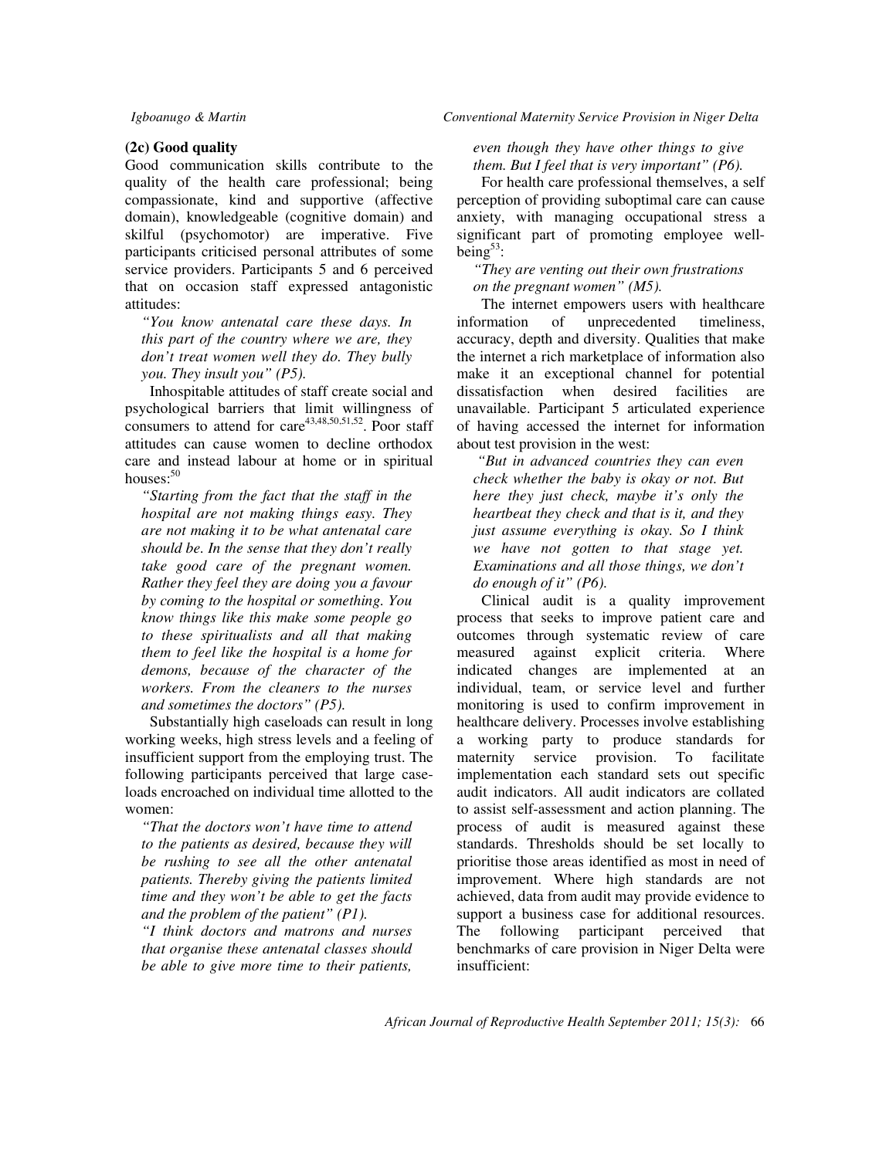#### **(2c) Good quality**

Good communication skills contribute to the quality of the health care professional; being compassionate, kind and supportive (affective domain), knowledgeable (cognitive domain) and skilful (psychomotor) are imperative. Five participants criticised personal attributes of some service providers. Participants 5 and 6 perceived that on occasion staff expressed antagonistic attitudes:

*"You know antenatal care these days. In this part of the country where we are, they don't treat women well they do. They bully you. They insult you" (P5).* 

Inhospitable attitudes of staff create social and psychological barriers that limit willingness of consumers to attend for  $care<sup>43,48,50,51,52</sup>$ . Poor staff attitudes can cause women to decline orthodox care and instead labour at home or in spiritual houses: $50$ 

*"Starting from the fact that the staff in the hospital are not making things easy. They are not making it to be what antenatal care should be. In the sense that they don't really take good care of the pregnant women. Rather they feel they are doing you a favour by coming to the hospital or something. You know things like this make some people go to these spiritualists and all that making them to feel like the hospital is a home for demons, because of the character of the workers. From the cleaners to the nurses and sometimes the doctors" (P5).* 

Substantially high caseloads can result in long working weeks, high stress levels and a feeling of insufficient support from the employing trust. The following participants perceived that large caseloads encroached on individual time allotted to the women:

*"That the doctors won't have time to attend to the patients as desired, because they will be rushing to see all the other antenatal patients. Thereby giving the patients limited time and they won't be able to get the facts and the problem of the patient" (P1).* 

*"I think doctors and matrons and nurses that organise these antenatal classes should be able to give more time to their patients,* 

### *even though they have other things to give them. But I feel that is very important" (P6).*

For health care professional themselves, a self perception of providing suboptimal care can cause anxiety, with managing occupational stress a significant part of promoting employee wellbeing $53$ :

*"They are venting out their own frustrations on the pregnant women" (M5).* 

The internet empowers users with healthcare information of unprecedented timeliness, accuracy, depth and diversity. Qualities that make the internet a rich marketplace of information also make it an exceptional channel for potential dissatisfaction when desired facilities are unavailable. Participant 5 articulated experience of having accessed the internet for information about test provision in the west:

 *"But in advanced countries they can even check whether the baby is okay or not. But here they just check, maybe it's only the heartbeat they check and that is it, and they just assume everything is okay. So I think we have not gotten to that stage yet. Examinations and all those things, we don't do enough of it" (P6).* 

Clinical audit is a quality improvement process that seeks to improve patient care and outcomes through systematic review of care measured against explicit criteria. Where indicated changes are implemented at an individual, team, or service level and further monitoring is used to confirm improvement in healthcare delivery. Processes involve establishing a working party to produce standards for maternity service provision. To facilitate implementation each standard sets out specific audit indicators. All audit indicators are collated to assist self-assessment and action planning. The process of audit is measured against these standards. Thresholds should be set locally to prioritise those areas identified as most in need of improvement. Where high standards are not achieved, data from audit may provide evidence to support a business case for additional resources. The following participant perceived that benchmarks of care provision in Niger Delta were insufficient: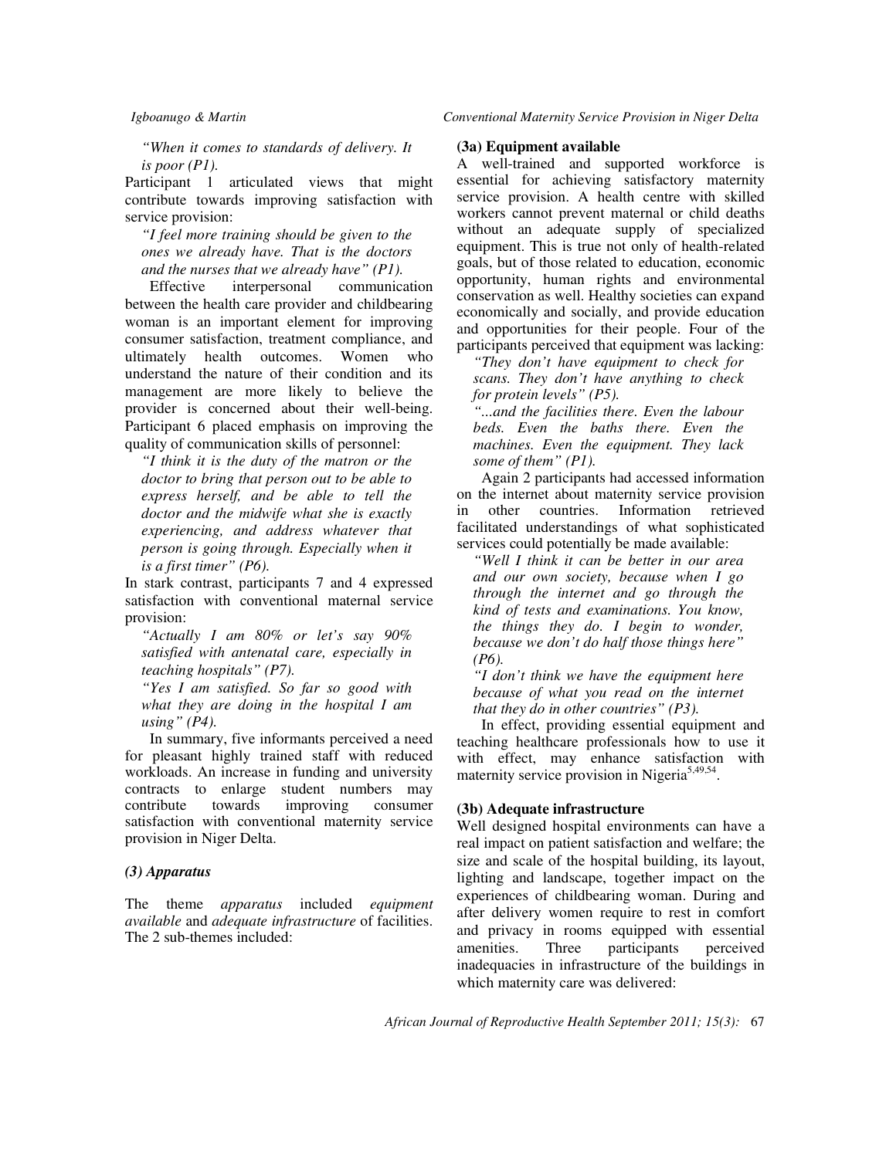*Igboanugo & Martin Conventional Maternity Service Provision in Niger Delta* 

*"When it comes to standards of delivery. It is poor (P1).* 

Participant 1 articulated views that might contribute towards improving satisfaction with service provision:

*"I feel more training should be given to the ones we already have. That is the doctors and the nurses that we already have" (P1).* 

Effective interpersonal communication between the health care provider and childbearing woman is an important element for improving consumer satisfaction, treatment compliance, and ultimately health outcomes. Women who understand the nature of their condition and its management are more likely to believe the provider is concerned about their well-being. Participant 6 placed emphasis on improving the quality of communication skills of personnel:

*"I think it is the duty of the matron or the doctor to bring that person out to be able to express herself, and be able to tell the doctor and the midwife what she is exactly experiencing, and address whatever that person is going through. Especially when it is a first timer" (P6).* 

In stark contrast, participants 7 and 4 expressed satisfaction with conventional maternal service provision:

*"Actually I am 80% or let's say 90% satisfied with antenatal care, especially in teaching hospitals" (P7).* 

*"Yes I am satisfied. So far so good with what they are doing in the hospital I am using" (P4).* 

In summary, five informants perceived a need for pleasant highly trained staff with reduced workloads. An increase in funding and university contracts to enlarge student numbers may<br>contribute towards improving consumer contribute towards improving consumer satisfaction with conventional maternity service provision in Niger Delta.

#### *(3) Apparatus*

The theme *apparatus* included *equipment available* and *adequate infrastructure* of facilities. The 2 sub-themes included:

### **(3a) Equipment available**

A well-trained and supported workforce is essential for achieving satisfactory maternity service provision. A health centre with skilled workers cannot prevent maternal or child deaths without an adequate supply of specialized equipment. This is true not only of health-related goals, but of those related to education, economic opportunity, human rights and environmental conservation as well. Healthy societies can expand economically and socially, and provide education and opportunities for their people. Four of the participants perceived that equipment was lacking:

*"They don't have equipment to check for scans. They don't have anything to check for protein levels" (P5).* 

*"...and the facilities there. Even the labour beds. Even the baths there. Even the machines. Even the equipment. They lack some of them" (P1).* 

Again 2 participants had accessed information on the internet about maternity service provision in other countries. Information retrieved facilitated understandings of what sophisticated services could potentially be made available:

*"Well I think it can be better in our area and our own society, because when I go through the internet and go through the kind of tests and examinations. You know, the things they do. I begin to wonder, because we don't do half those things here" (P6).* 

*"I don't think we have the equipment here because of what you read on the internet that they do in other countries" (P3).* 

In effect, providing essential equipment and teaching healthcare professionals how to use it with effect, may enhance satisfaction with maternity service provision in Nigeria<sup>5,49,54</sup>.

#### **(3b) Adequate infrastructure**

Well designed hospital environments can have a real impact on patient satisfaction and welfare; the size and scale of the hospital building, its layout, lighting and landscape, together impact on the experiences of childbearing woman. During and after delivery women require to rest in comfort and privacy in rooms equipped with essential amenities. Three participants perceived inadequacies in infrastructure of the buildings in which maternity care was delivered: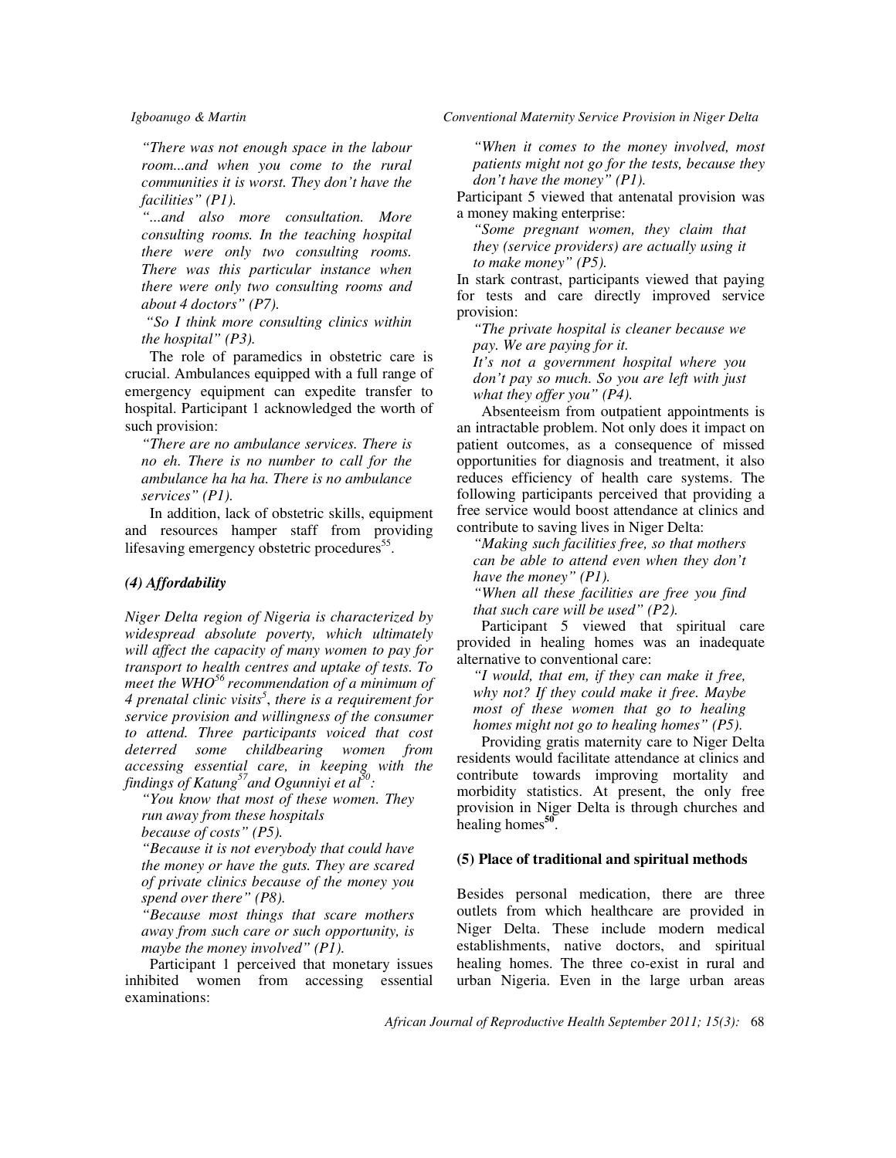*"There was not enough space in the labour room...and when you come to the rural communities it is worst. They don't have the facilities" (P1).* 

*"...and also more consultation. More consulting rooms. In the teaching hospital there were only two consulting rooms. There was this particular instance when there were only two consulting rooms and about 4 doctors" (P7).* 

 *"So I think more consulting clinics within the hospital" (P3).* 

The role of paramedics in obstetric care is crucial. Ambulances equipped with a full range of emergency equipment can expedite transfer to hospital. Participant 1 acknowledged the worth of such provision:

*"There are no ambulance services. There is no eh. There is no number to call for the ambulance ha ha ha. There is no ambulance services" (P1).* 

In addition, lack of obstetric skills, equipment and resources hamper staff from providing lifesaving emergency obstetric procedures<sup>55</sup>.

#### *(4) Affordability*

*Niger Delta region of Nigeria is characterized by widespread absolute poverty, which ultimately will affect the capacity of many women to pay for transport to health centres and uptake of tests. To meet the WHO<sup>56</sup>recommendation of a minimum of 4 prenatal clinic visits<sup>5</sup>* , *there is a requirement for service provision and willingness of the consumer to attend. Three participants voiced that cost deterred some childbearing women from accessing essential care, in keeping with the findings of Katung<sup>57</sup>and Ogunniyi et al<sup>50</sup> :* 

*"You know that most of these women. They run away from these hospitals* 

*because of costs" (P5).* 

*"Because it is not everybody that could have the money or have the guts. They are scared of private clinics because of the money you spend over there" (P8).* 

*"Because most things that scare mothers away from such care or such opportunity, is maybe the money involved" (P1).* 

Participant 1 perceived that monetary issues inhibited women from accessing essential examinations:

*Igboanugo & Martin Conventional Maternity Service Provision in Niger Delta* 

*"When it comes to the money involved, most patients might not go for the tests, because they don't have the money" (P1).* 

Participant 5 viewed that antenatal provision was a money making enterprise:

*"Some pregnant women, they claim that they (service providers) are actually using it to make money" (P5).* 

In stark contrast, participants viewed that paying for tests and care directly improved service provision:

*"The private hospital is cleaner because we pay. We are paying for it.* 

*It's not a government hospital where you don't pay so much. So you are left with just what they offer you" (P4).* 

Absenteeism from outpatient appointments is an intractable problem. Not only does it impact on patient outcomes, as a consequence of missed opportunities for diagnosis and treatment, it also reduces efficiency of health care systems. The following participants perceived that providing a free service would boost attendance at clinics and contribute to saving lives in Niger Delta:

*"Making such facilities free, so that mothers can be able to attend even when they don't have the money" (P1).* 

*"When all these facilities are free you find that such care will be used" (P2).* 

Participant 5 viewed that spiritual care provided in healing homes was an inadequate alternative to conventional care:

*"I would, that em, if they can make it free, why not? If they could make it free. Maybe most of these women that go to healing homes might not go to healing homes" (P5).* 

Providing gratis maternity care to Niger Delta residents would facilitate attendance at clinics and contribute towards improving mortality and morbidity statistics. At present, the only free provision in Niger Delta is through churches and healing homes<sup>50</sup>.

#### **(5) Place of traditional and spiritual methods**

Besides personal medication, there are three outlets from which healthcare are provided in Niger Delta. These include modern medical establishments, native doctors, and spiritual healing homes. The three co-exist in rural and urban Nigeria. Even in the large urban areas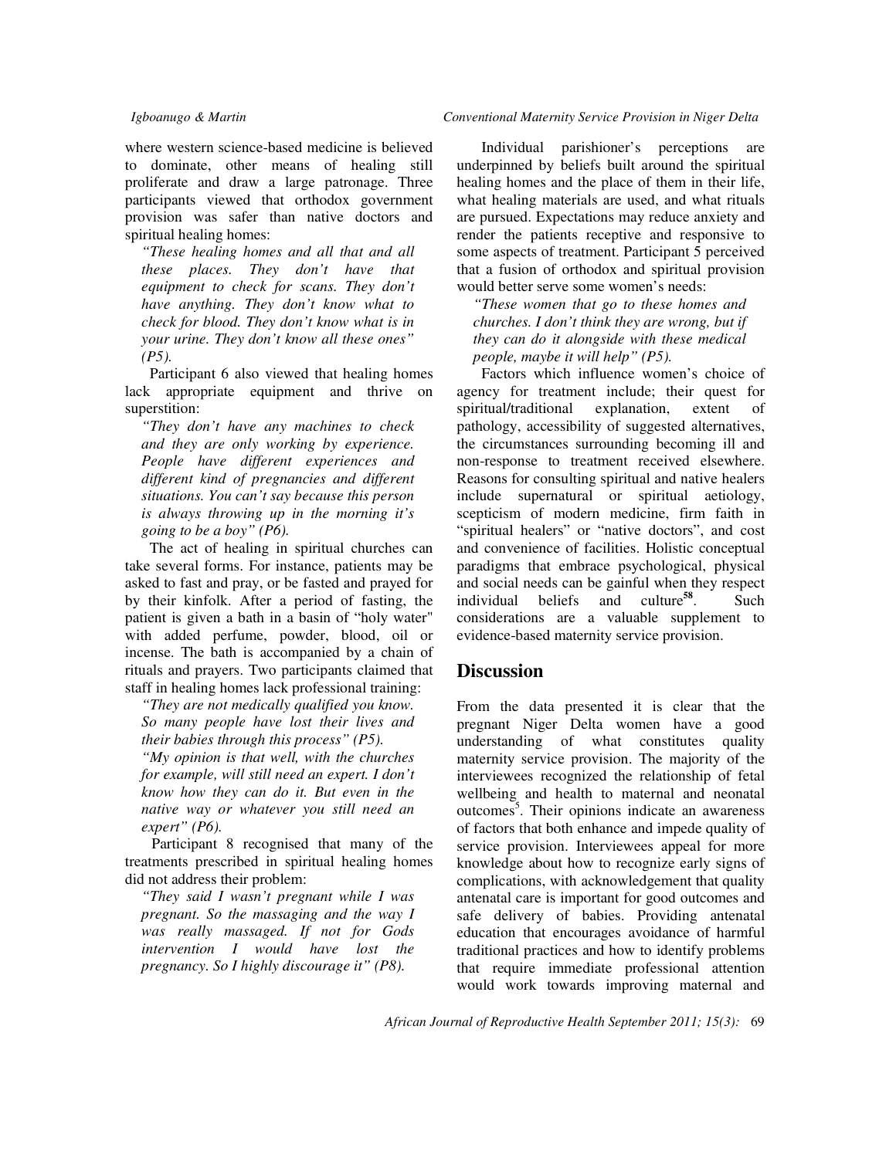where western science-based medicine is believed to dominate, other means of healing still proliferate and draw a large patronage. Three participants viewed that orthodox government provision was safer than native doctors and spiritual healing homes:

*"These healing homes and all that and all these places. They don't have that equipment to check for scans. They don't have anything. They don't know what to check for blood. They don't know what is in your urine. They don't know all these ones" (P5).* 

Participant 6 also viewed that healing homes lack appropriate equipment and thrive on superstition:

*"They don't have any machines to check and they are only working by experience. People have different experiences and different kind of pregnancies and different situations. You can't say because this person is always throwing up in the morning it's going to be a boy" (P6).* 

The act of healing in spiritual churches can take several forms. For instance, patients may be asked to fast and pray, or be fasted and prayed for by their kinfolk. After a period of fasting, the patient is given a bath in a basin of "holy water" with added perfume, powder, blood, oil or incense. The bath is accompanied by a chain of rituals and prayers. Two participants claimed that staff in healing homes lack professional training:

*"They are not medically qualified you know. So many people have lost their lives and their babies through this process" (P5). "My opinion is that well, with the churches for example, will still need an expert. I don't know how they can do it. But even in the native way or whatever you still need an* 

*expert" (P6).*  Participant 8 recognised that many of the treatments prescribed in spiritual healing homes did not address their problem:

*"They said I wasn't pregnant while I was pregnant. So the massaging and the way I was really massaged. If not for Gods intervention I would have lost the pregnancy. So I highly discourage it" (P8).* 

#### *Igboanugo & Martin Conventional Maternity Service Provision in Niger Delta*

Individual parishioner's perceptions are underpinned by beliefs built around the spiritual healing homes and the place of them in their life, what healing materials are used, and what rituals are pursued. Expectations may reduce anxiety and render the patients receptive and responsive to some aspects of treatment. Participant 5 perceived that a fusion of orthodox and spiritual provision would better serve some women's needs:

*"These women that go to these homes and churches. I don't think they are wrong, but if they can do it alongside with these medical people, maybe it will help" (P5).* 

Factors which influence women's choice of agency for treatment include; their quest for spiritual/traditional explanation, extent of pathology, accessibility of suggested alternatives, the circumstances surrounding becoming ill and non-response to treatment received elsewhere. Reasons for consulting spiritual and native healers include supernatural or spiritual aetiology, scepticism of modern medicine, firm faith in "spiritual healers" or "native doctors", and cost and convenience of facilities. Holistic conceptual paradigms that embrace psychological, physical and social needs can be gainful when they respect individual beliefs and culture**<sup>58</sup>** . Such considerations are a valuable supplement to evidence-based maternity service provision.

## **Discussion**

From the data presented it is clear that the pregnant Niger Delta women have a good understanding of what constitutes quality maternity service provision. The majority of the interviewees recognized the relationship of fetal wellbeing and health to maternal and neonatal  $outcomes<sup>5</sup>$ . Their opinions indicate an awareness of factors that both enhance and impede quality of service provision. Interviewees appeal for more knowledge about how to recognize early signs of complications, with acknowledgement that quality antenatal care is important for good outcomes and safe delivery of babies. Providing antenatal education that encourages avoidance of harmful traditional practices and how to identify problems that require immediate professional attention would work towards improving maternal and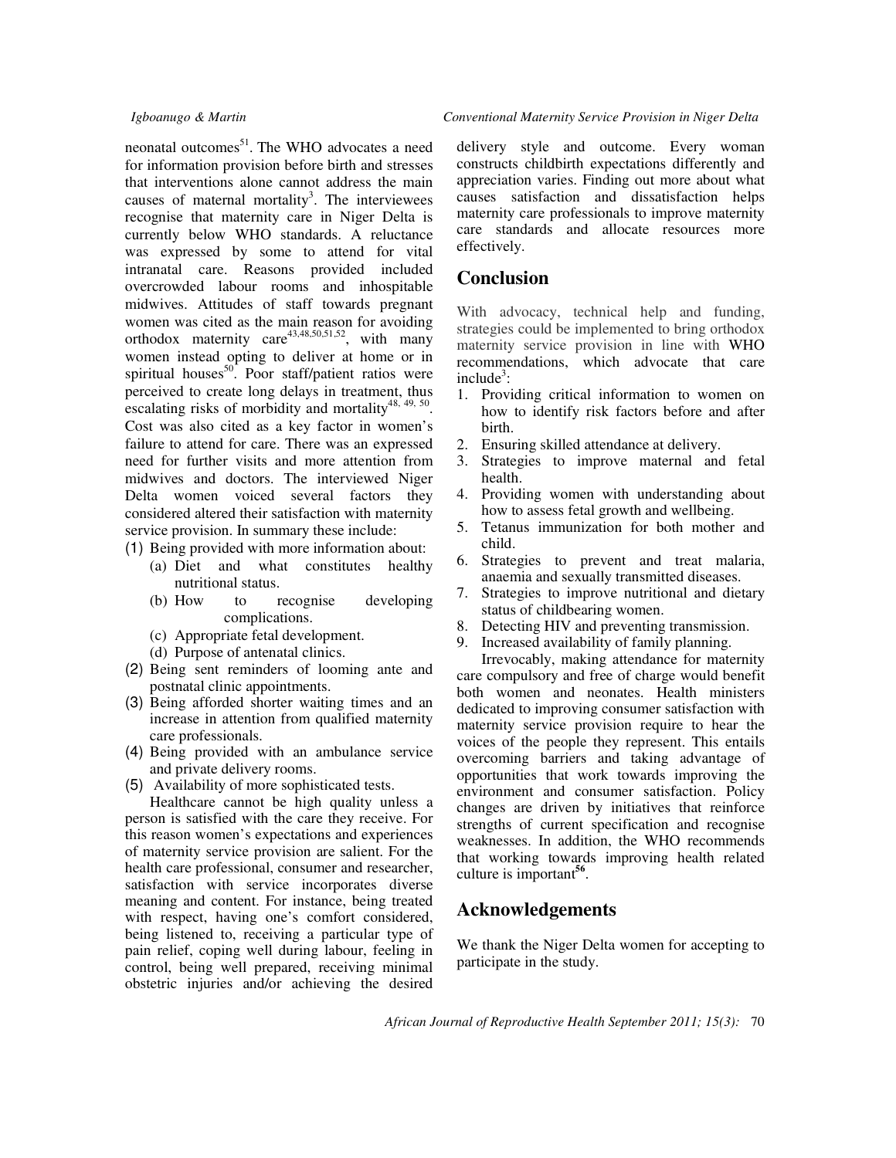neonatal outcomes<sup>51</sup>. The WHO advocates a need for information provision before birth and stresses that interventions alone cannot address the main causes of maternal mortality<sup>3</sup>. The interviewees recognise that maternity care in Niger Delta is currently below WHO standards. A reluctance was expressed by some to attend for vital intranatal care. Reasons provided included overcrowded labour rooms and inhospitable midwives. Attitudes of staff towards pregnant women was cited as the main reason for avoiding orthodox maternity care<sup>43,48,50,51,52</sup>, with many women instead opting to deliver at home or in spiritual houses $^{50}$ . Poor staff/patient ratios were perceived to create long delays in treatment, thus escalating risks of morbidity and mortality $48, 49, 50$ . Cost was also cited as a key factor in women's failure to attend for care. There was an expressed need for further visits and more attention from midwives and doctors. The interviewed Niger Delta women voiced several factors they considered altered their satisfaction with maternity service provision. In summary these include:

- (1) Being provided with more information about:
	- (a) Diet and what constitutes healthy nutritional status.
	- (b) How to recognise developing complications.
	- (c) Appropriate fetal development.
	- (d) Purpose of antenatal clinics.
- (2) Being sent reminders of looming ante and postnatal clinic appointments.
- (3) Being afforded shorter waiting times and an increase in attention from qualified maternity care professionals.
- (4) Being provided with an ambulance service and private delivery rooms.
- (5) Availability of more sophisticated tests.

Healthcare cannot be high quality unless a person is satisfied with the care they receive. For this reason women's expectations and experiences of maternity service provision are salient. For the health care professional, consumer and researcher, satisfaction with service incorporates diverse meaning and content. For instance, being treated with respect, having one's comfort considered, being listened to, receiving a particular type of pain relief, coping well during labour, feeling in control, being well prepared, receiving minimal obstetric injuries and/or achieving the desired

#### *Igboanugo & Martin Conventional Maternity Service Provision in Niger Delta*

delivery style and outcome. Every woman constructs childbirth expectations differently and appreciation varies. Finding out more about what causes satisfaction and dissatisfaction helps maternity care professionals to improve maternity care standards and allocate resources more effectively.

## **Conclusion**

With advocacy, technical help and funding, strategies could be implemented to bring orthodox maternity service provision in line with WHO recommendations, which advocate that care include<sup>3</sup>:

- 1. Providing critical information to women on how to identify risk factors before and after birth.
- 2. Ensuring skilled attendance at delivery.
- 3. Strategies to improve maternal and fetal health.
- 4. Providing women with understanding about how to assess fetal growth and wellbeing.
- 5. Tetanus immunization for both mother and child.
- 6. Strategies to prevent and treat malaria, anaemia and sexually transmitted diseases.
- 7. Strategies to improve nutritional and dietary status of childbearing women.
- 8. Detecting HIV and preventing transmission.
- 9. Increased availability of family planning.

Irrevocably, making attendance for maternity care compulsory and free of charge would benefit both women and neonates. Health ministers dedicated to improving consumer satisfaction with maternity service provision require to hear the voices of the people they represent. This entails overcoming barriers and taking advantage of opportunities that work towards improving the environment and consumer satisfaction. Policy changes are driven by initiatives that reinforce strengths of current specification and recognise weaknesses. In addition, the WHO recommends that working towards improving health related culture is important**<sup>56</sup>** .

## **Acknowledgements**

We thank the Niger Delta women for accepting to participate in the study.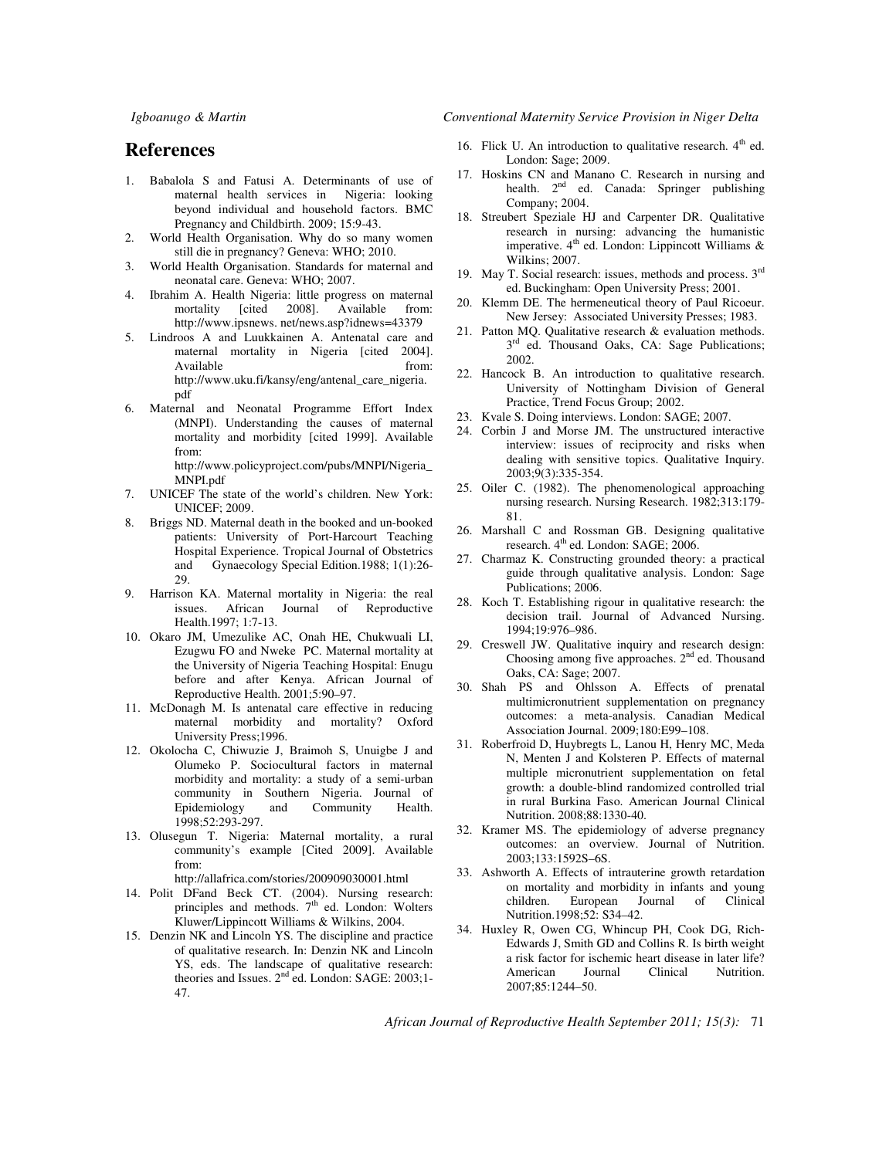*Igboanugo & Martin Conventional Maternity Service Provision in Niger Delta* 

## **References**

- 1. Babalola S and Fatusi A. Determinants of use of maternal health services in Nigeria: looking beyond individual and household factors. BMC Pregnancy and Childbirth. 2009; 15:9-43.
- 2. World Health Organisation. Why do so many women still die in pregnancy? Geneva: WHO; 2010.
- 3. World Health Organisation. Standards for maternal and neonatal care. Geneva: WHO; 2007.
- 4. Ibrahim A. Health Nigeria: little progress on maternal mortality [cited 2008]. Available from: http://www.ipsnews. net/news.asp?idnews=43379
- 5. Lindroos A and Luukkainen A. Antenatal care and maternal mortality in Nigeria [cited 2004]. Available from: http://www.uku.fi/kansy/eng/antenal\_care\_nigeria. pdf
- 6. Maternal and Neonatal Programme Effort Index (MNPI). Understanding the causes of maternal mortality and morbidity [cited 1999]. Available from:

http://www.policyproject.com/pubs/MNPI/Nigeria\_ MNPI.pdf

- 7. UNICEF The state of the world's children. New York: UNICEF; 2009.
- 8. Briggs ND. Maternal death in the booked and un-booked patients: University of Port-Harcourt Teaching Hospital Experience. Tropical Journal of Obstetrics and Gynaecology Special Edition.1988; 1(1):26- 29.
- 9. Harrison KA. Maternal mortality in Nigeria: the real issues. African Journal of Reproductive Health.1997; 1:7-13.
- 10. Okaro JM, Umezulike AC, Onah HE, Chukwuali LI, Ezugwu FO and Nweke PC. Maternal mortality at the University of Nigeria Teaching Hospital: Enugu before and after Kenya. African Journal of Reproductive Health. 2001;5:90–97.
- 11. McDonagh M. Is antenatal care effective in reducing maternal morbidity and mortality? Oxford University Press;1996.
- 12. Okolocha C, Chiwuzie J, Braimoh S, Unuigbe J and Olumeko P. Sociocultural factors in maternal morbidity and mortality: a study of a semi-urban community in Southern Nigeria. Journal of Epidemiology and Community Health. 1998;52:293-297.
- 13. Olusegun T. Nigeria: Maternal mortality, a rural community's example [Cited 2009]. Available from:

http://allafrica.com/stories/200909030001.html

- 14. Polit DFand Beck CT. (2004). Nursing research: principles and methods.  $7<sup>th</sup>$  ed. London: Wolters Kluwer/Lippincott Williams & Wilkins, 2004.
- 15. Denzin NK and Lincoln YS. The discipline and practice of qualitative research. In: Denzin NK and Lincoln YS, eds. The landscape of qualitative research: theories and Issues. 2<sup>nd</sup> ed. London: SAGE: 2003;1-47.
- 16. Flick U. An introduction to qualitative research.  $4<sup>th</sup>$  ed. London: Sage; 2009.
- 17. Hoskins CN and Manano C. Research in nursing and health. 2<sup>nd</sup> ed. Canada: Springer publishing Company; 2004.
- 18. Streubert Speziale HJ and Carpenter DR. Qualitative research in nursing: advancing the humanistic imperative.  $4<sup>th</sup>$  ed. London: Lippincott Williams & Wilkins; 2007.
- 19. May T. Social research: issues, methods and process. 3rd ed. Buckingham: Open University Press; 2001.
- 20. Klemm DE. The hermeneutical theory of Paul Ricoeur. New Jersey: Associated University Presses; 1983.
- 21. Patton MQ. Qualitative research & evaluation methods. 3<sup>rd</sup> ed. Thousand Oaks, CA: Sage Publications; 2002.
- 22. Hancock B. An introduction to qualitative research. University of Nottingham Division of General Practice, Trend Focus Group; 2002.
- 23. Kvale S. Doing interviews. London: SAGE; 2007.
- 24. Corbin J and Morse JM. The unstructured interactive interview: issues of reciprocity and risks when dealing with sensitive topics. Qualitative Inquiry. 2003;9(3):335-354.
- 25. Oiler C. (1982). The phenomenological approaching nursing research. Nursing Research. 1982;313:179- 81.
- 26. Marshall C and Rossman GB. Designing qualitative research. 4<sup>th</sup> ed. London: SAGE; 2006.
- 27. Charmaz K. Constructing grounded theory: a practical guide through qualitative analysis. London: Sage Publications; 2006.
- 28. Koch T. Establishing rigour in qualitative research: the decision trail. Journal of Advanced Nursing. 1994;19:976–986.
- 29. Creswell JW. Qualitative inquiry and research design: Choosing among five approaches. 2<sup>nd</sup> ed. Thousand Oaks, CA: Sage; 2007.
- 30. Shah PS and Ohlsson A. Effects of prenatal multimicronutrient supplementation on pregnancy outcomes: a meta-analysis. Canadian Medical Association Journal. 2009;180:E99–108.
- 31. Roberfroid D, Huybregts L, Lanou H, Henry MC, Meda N, Menten J and Kolsteren P. Effects of maternal multiple micronutrient supplementation on fetal growth: a double-blind randomized controlled trial in rural Burkina Faso. American Journal Clinical Nutrition. 2008;88:1330-40.
- 32. Kramer MS. The epidemiology of adverse pregnancy outcomes: an overview. Journal of Nutrition. 2003;133:1592S–6S.
- 33. Ashworth A. Effects of intrauterine growth retardation on mortality and morbidity in infants and young<br>children. European Journal of Clinical Journal of Clinical Nutrition.1998;52: S34–42.
- 34. Huxley R, Owen CG, Whincup PH, Cook DG, Rich-Edwards J, Smith GD and Collins R. Is birth weight a risk factor for ischemic heart disease in later life?<br>American Journal Clinical Nutrition. American 2007;85:1244–50.